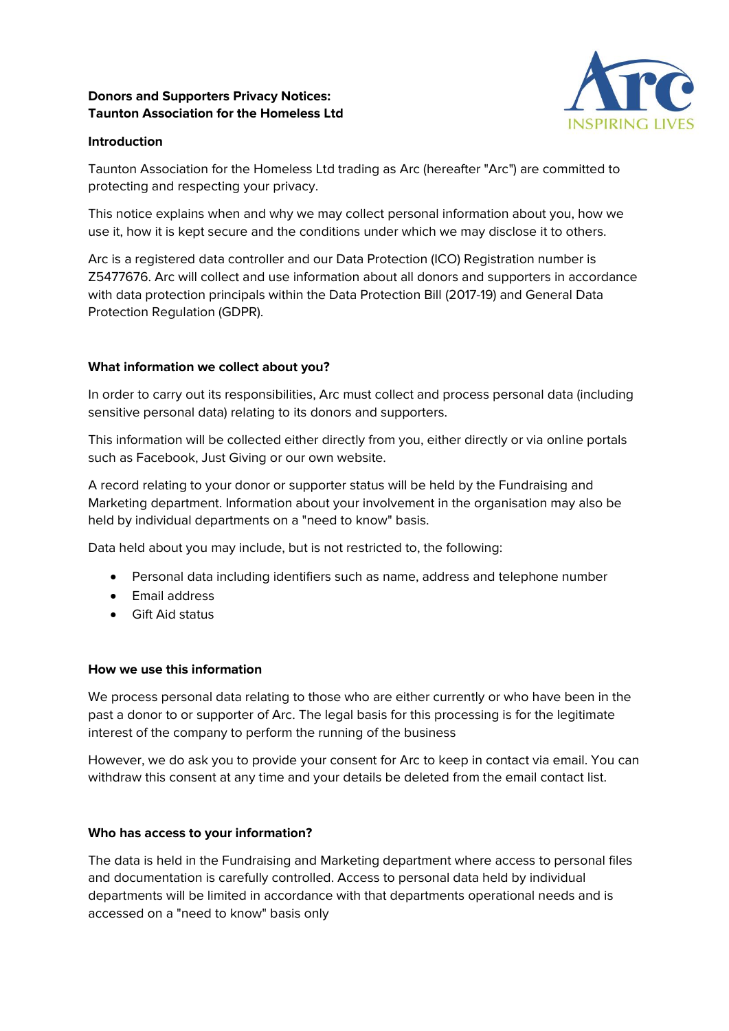# **Donors and Supporters Privacy Notices: Taunton Association for the Homeless Ltd**



## **Introduction**

Taunton Association for the Homeless Ltd trading as Arc (hereafter "Arc") are committed to protecting and respecting your privacy.

This notice explains when and why we may collect personal information about you, how we use it, how it is kept secure and the conditions under which we may disclose it to others.

Arc is a registered data controller and our Data Protection (ICO) Registration number is Z5477676. Arc will collect and use information about all donors and supporters in accordance with data protection principals within the Data Protection Bill (2017-19) and General Data Protection Regulation (GDPR).

## **What information we collect about you?**

In order to carry out its responsibilities, Arc must collect and process personal data (including sensitive personal data) relating to its donors and supporters.

This information will be collected either directly from you, either directly or via online portals such as Facebook, Just Giving or our own website.

A record relating to your donor or supporter status will be held by the Fundraising and Marketing department. Information about your involvement in the organisation may also be held by individual departments on a "need to know" basis.

Data held about you may include, but is not restricted to, the following:

- Personal data including identifiers such as name, address and telephone number
- **•** Email address
- Gift Aid status

### **How we use this information**

We process personal data relating to those who are either currently or who have been in the past a donor to or supporter of Arc. The legal basis for this processing is for the legitimate interest of the company to perform the running of the business

However, we do ask you to provide your consent for Arc to keep in contact via email. You can withdraw this consent at any time and your details be deleted from the email contact list.

### **Who has access to your information?**

The data is held in the Fundraising and Marketing department where access to personal files and documentation is carefully controlled. Access to personal data held by individual departments will be limited in accordance with that departments operational needs and is accessed on a "need to know" basis only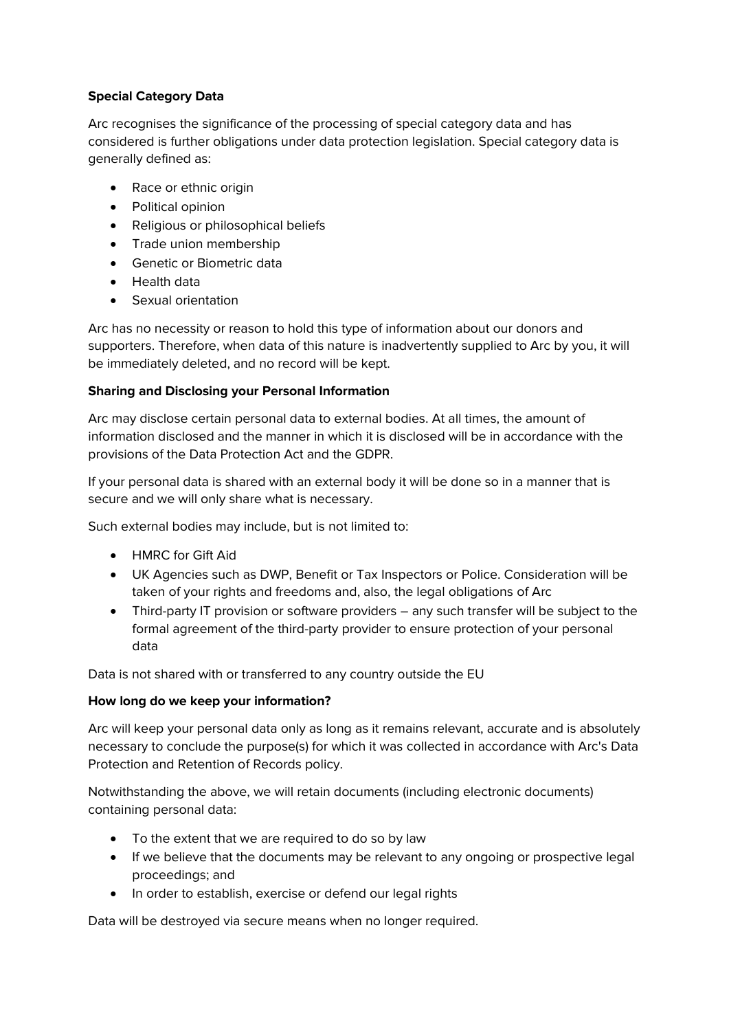# **Special Category Data**

Arc recognises the significance of the processing of special category data and has considered is further obligations under data protection legislation. Special category data is generally defined as:

- Race or ethnic origin
- Political opinion
- Religious or philosophical beliefs
- Trade union membership
- **•** Genetic or Biometric data
- Health data
- Sexual orientation

Arc has no necessity or reason to hold this type of information about our donors and supporters. Therefore, when data of this nature is inadvertently supplied to Arc by you, it will be immediately deleted, and no record will be kept.

# **Sharing and Disclosing your Personal Information**

Arc may disclose certain personal data to external bodies. At all times, the amount of information disclosed and the manner in which it is disclosed will be in accordance with the provisions of the Data Protection Act and the GDPR.

If your personal data is shared with an external body it will be done so in a manner that is secure and we will only share what is necessary.

Such external bodies may include, but is not limited to:

- HMRC for Gift Aid
- UK Agencies such as DWP, Benefit or Tax Inspectors or Police. Consideration will be taken of your rights and freedoms and, also, the legal obligations of Arc
- Third-party IT provision or software providers any such transfer will be subject to the formal agreement of the third-party provider to ensure protection of your personal data

Data is not shared with or transferred to any country outside the EU

# **How long do we keep your information?**

Arc will keep your personal data only as long as it remains relevant, accurate and is absolutely necessary to conclude the purpose(s) for which it was collected in accordance with Arc's Data Protection and Retention of Records policy.

Notwithstanding the above, we will retain documents (including electronic documents) containing personal data:

- To the extent that we are required to do so by law
- If we believe that the documents may be relevant to any ongoing or prospective legal proceedings; and
- In order to establish, exercise or defend our legal rights

Data will be destroyed via secure means when no longer required.